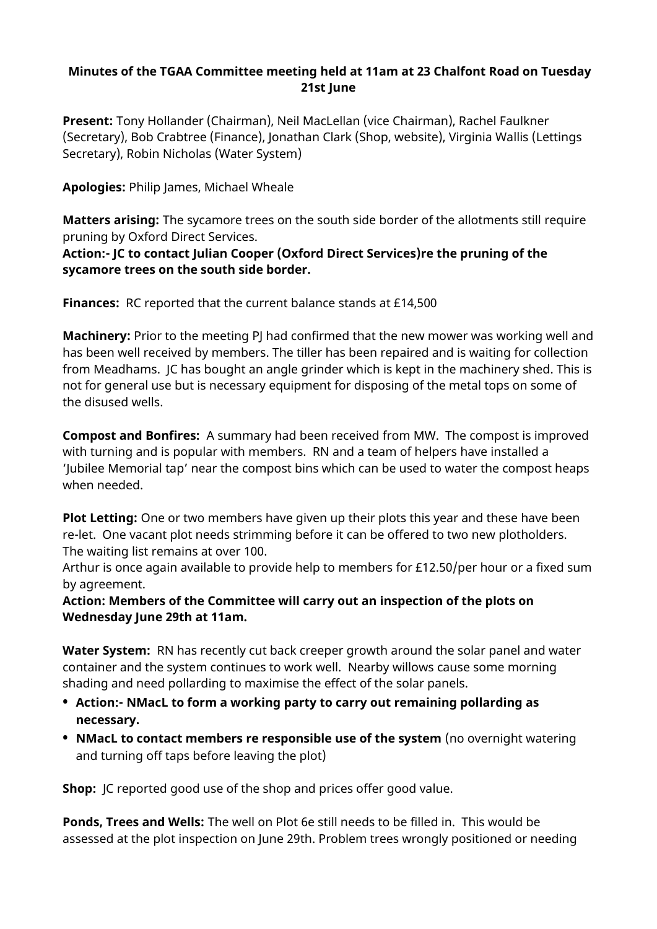## **Minutes of the TGAA Committee meeting held at 11am at 23 Chalfont Road on Tuesday 21st June**

**Present:** Tony Hollander (Chairman), Neil MacLellan (vice Chairman), Rachel Faulkner (Secretary), Bob Crabtree (Finance), Jonathan Clark (Shop, website), Virginia Wallis (Lettings Secretary), Robin Nicholas (Water System)

## **Apologies:** Philip James, Michael Wheale

**Matters arising:** The sycamore trees on the south side border of the allotments still require pruning by Oxford Direct Services.

#### **Action:- JC to contact Julian Cooper (Oxford Direct Services)re the pruning of the sycamore trees on the south side border.**

**Finances:** RC reported that the current balance stands at £14,500

**Machinery:** Prior to the meeting PJ had confirmed that the new mower was working well and has been well received by members. The tiller has been repaired and is waiting for collection from Meadhams. JC has bought an angle grinder which is kept in the machinery shed. This is not for general use but is necessary equipment for disposing of the metal tops on some of the disused wells.

**Compost and Bonfires:** A summary had been received from MW. The compost is improved with turning and is popular with members. RN and a team of helpers have installed a 'Jubilee Memorial tap' near the compost bins which can be used to water the compost heaps when needed.

**Plot Letting:** One or two members have given up their plots this year and these have been re-let. One vacant plot needs strimming before it can be offered to two new plotholders. The waiting list remains at over 100.

Arthur is once again available to provide help to members for £12.50/per hour or a fixed sum by agreement.

#### **Action: Members of the Committee will carry out an inspection of the plots on Wednesday June 29th at 11am.**

**Water System:** RN has recently cut back creeper growth around the solar panel and water container and the system continues to work well. Nearby willows cause some morning shading and need pollarding to maximise the effect of the solar panels.

- **• Action:- NMacL to form a working party to carry out remaining pollarding as necessary.**
- **NMacL to contact members re responsible use of the system (no overnight watering)** and turning off taps before leaving the plot)

**Shop:** JC reported good use of the shop and prices offer good value.

**Ponds, Trees and Wells:** The well on Plot 6e still needs to be filled in. This would be assessed at the plot inspection on June 29th. Problem trees wrongly positioned or needing